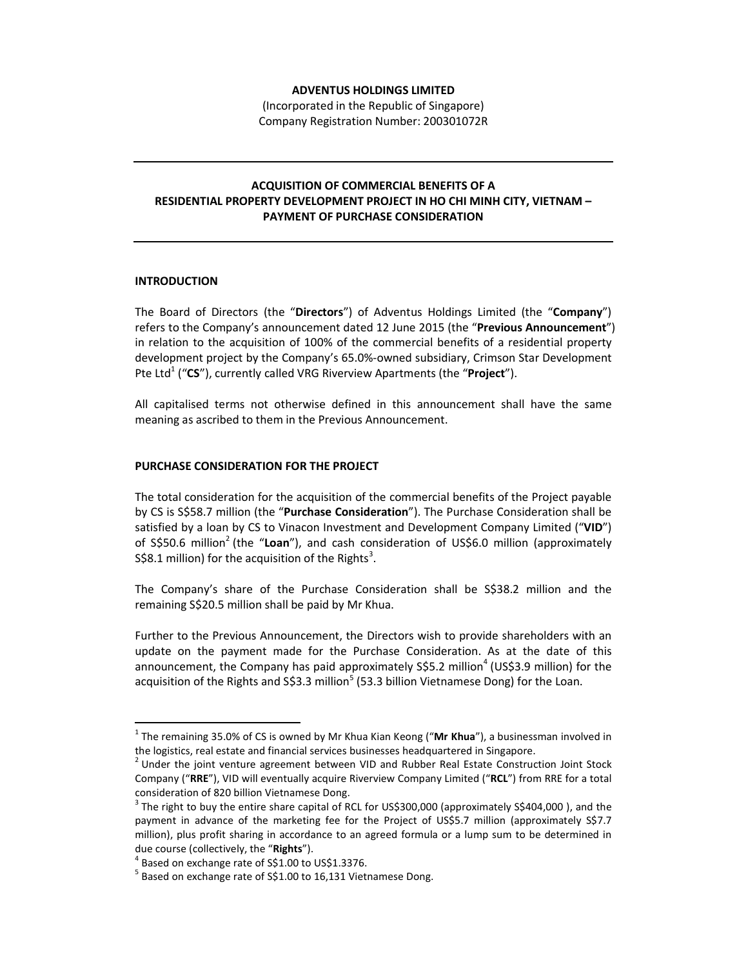## **ADVENTUS HOLDINGS LIMITED**

(Incorporated in the Republic of Singapore) Company Registration Number: 200301072R

## **ACQUISITION OF COMMERCIAL BENEFITS OF A RESIDENTIAL PROPERTY DEVELOPMENT PROJECT IN HO CHI MINH CITY, VIETNAM – PAYMENT OF PURCHASE CONSIDERATION**

## **INTRODUCTION**

 $\overline{a}$ 

The Board of Directors (the "**Directors**") of Adventus Holdings Limited (the "**Company**") refers to the Company's announcement dated 12 June 2015 (the "**Previous Announcement**") in relation to the acquisition of 100% of the commercial benefits of a residential property development project by the Company's 65.0%-owned subsidiary, Crimson Star Development Pte Ltd<sup>1</sup> ("CS"), currently called VRG Riverview Apartments (the "Project").

All capitalised terms not otherwise defined in this announcement shall have the same meaning as ascribed to them in the Previous Announcement.

## **PURCHASE CONSIDERATION FOR THE PROJECT**

The total consideration for the acquisition of the commercial benefits of the Project payable by CS is S\$58.7 million (the "**Purchase Consideration**"). The Purchase Consideration shall be satisfied by a loan by CS to Vinacon Investment and Development Company Limited ("**VID**") of S\$50.6 million<sup>2</sup> (the "Loan"), and cash consideration of US\$6.0 million (approximately S\$8.1 million) for the acquisition of the Rights<sup>3</sup>.

The Company's share of the Purchase Consideration shall be S\$38.2 million and the remaining S\$20.5 million shall be paid by Mr Khua.

Further to the Previous Announcement, the Directors wish to provide shareholders with an update on the payment made for the Purchase Consideration. As at the date of this announcement, the Company has paid approximately S\$5.2 million<sup>4</sup> (US\$3.9 million) for the acquisition of the Rights and S\$3.3 million<sup>5</sup> (53.3 billion Vietnamese Dong) for the Loan.

<sup>&</sup>lt;sup>1</sup> The remaining 35.0% of CS is owned by Mr Khua Kian Keong ("**Mr Khua**"), a businessman involved in the logistics, real estate and financial services businesses headquartered in Singapore.

<sup>&</sup>lt;sup>2</sup> Under the joint venture agreement between VID and Rubber Real Estate Construction Joint Stock Company ("**RRE**"), VID will eventually acquire Riverview Company Limited ("**RCL**") from RRE for a total consideration of 820 billion Vietnamese Dong.

 $3$  The right to buy the entire share capital of RCL for US\$300,000 (approximately S\$404,000 ), and the payment in advance of the marketing fee for the Project of US\$5.7 million (approximately S\$7.7 million), plus profit sharing in accordance to an agreed formula or a lump sum to be determined in due course (collectively, the "**Rights**").

<sup>4</sup> Based on exchange rate of S\$1.00 to US\$1.3376.

 $<sup>5</sup>$  Based on exchange rate of S\$1.00 to 16,131 Vietnamese Dong.</sup>